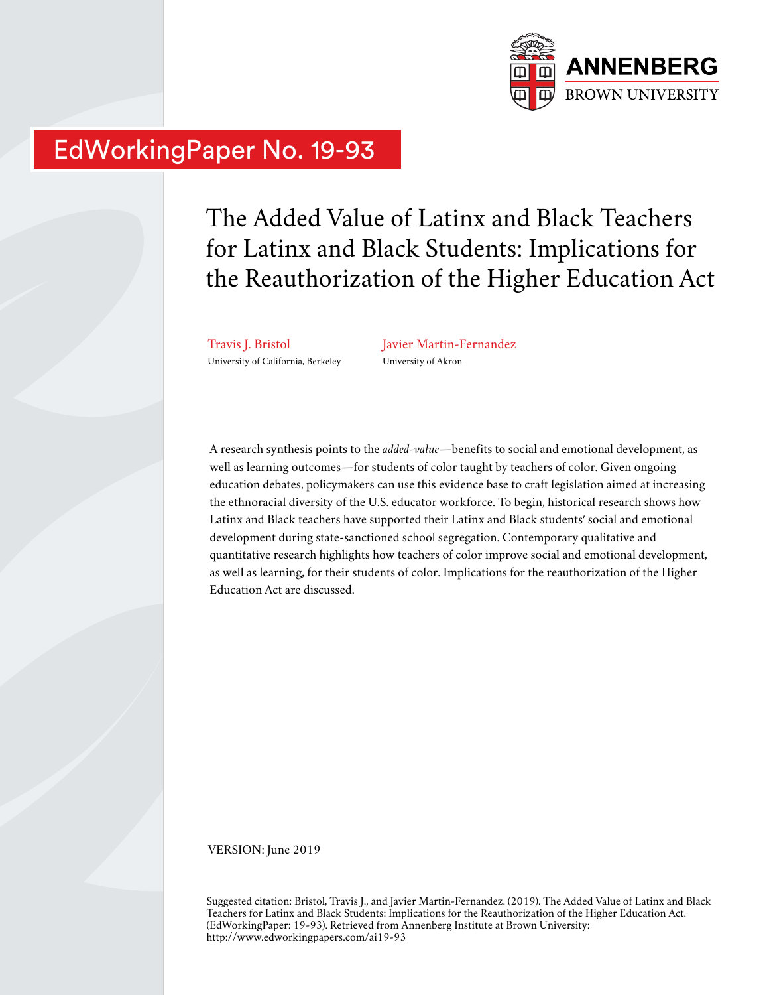

# EdWorkingPaper No. 19-93

The Added Value of Latinx and Black Teachers for Latinx and Black Students: Implications for the Reauthorization of the Higher Education Act

Travis J. Bristol University of California, Berkeley Javier Martin-Fernandez University of Akron

A research synthesis points to the *added-value*—benefits to social and emotional development, as well as learning outcomes—for students of color taught by teachers of color. Given ongoing education debates, policymakers can use this evidence base to craft legislation aimed at increasing the ethnoracial diversity of the U.S. educator workforce. To begin, historical research shows how Latinx and Black teachers have supported their Latinx and Black students' social and emotional development during state-sanctioned school segregation. Contemporary qualitative and quantitative research highlights how teachers of color improve social and emotional development, as well as learning, for their students of color. Implications for the reauthorization of the Higher Education Act are discussed.

VERSION: June 2019

Suggested citation: Bristol, Travis J., and Javier Martin-Fernandez. (2019). The Added Value of Latinx and Black Teachers for Latinx and Black Students: Implications for the Reauthorization of the Higher Education Act. (EdWorkingPaper: 19-93). Retrieved from Annenberg Institute at Brown University: http://www.edworkingpapers.com/ai19-93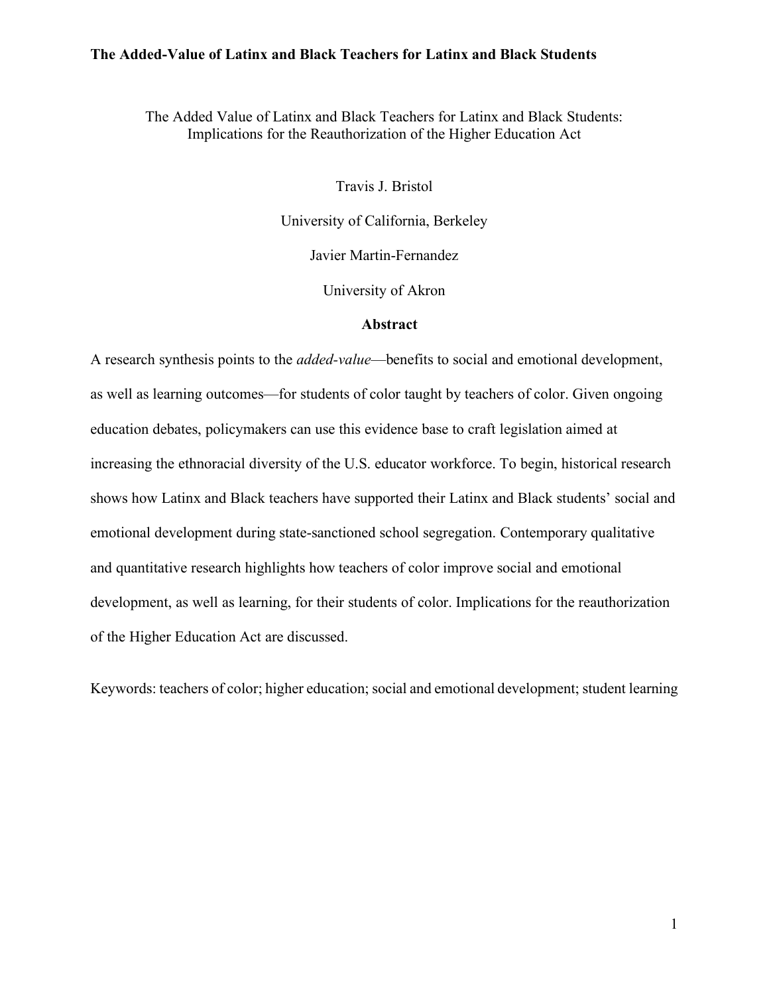The Added Value of Latinx and Black Teachers for Latinx and Black Students: Implications for the Reauthorization of the Higher Education Act

Travis J. Bristol

University of California, Berkeley

Javier Martin-Fernandez

University of Akron

#### **Abstract**

A research synthesis points to the *added-value*—benefits to social and emotional development, as well as learning outcomes—for students of color taught by teachers of color. Given ongoing education debates, policymakers can use this evidence base to craft legislation aimed at increasing the ethnoracial diversity of the U.S. educator workforce. To begin, historical research shows how Latinx and Black teachers have supported their Latinx and Black students' social and emotional development during state-sanctioned school segregation. Contemporary qualitative and quantitative research highlights how teachers of color improve social and emotional development, as well as learning, for their students of color. Implications for the reauthorization of the Higher Education Act are discussed.

Keywords: teachers of color; higher education; social and emotional development; student learning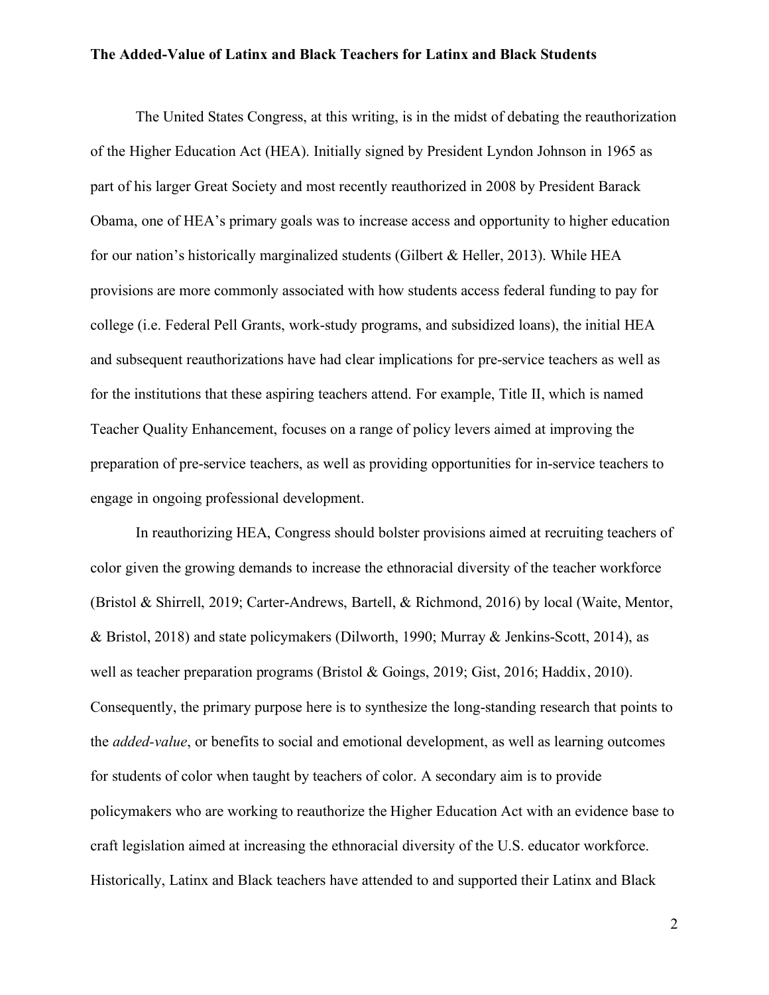The United States Congress, at this writing, is in the midst of debating the reauthorization of the Higher Education Act (HEA). Initially signed by President Lyndon Johnson in 1965 as part of his larger Great Society and most recently reauthorized in 2008 by President Barack Obama, one of HEA's primary goals was to increase access and opportunity to higher education for our nation's historically marginalized students (Gilbert  $&$  Heller, 2013). While HEA provisions are more commonly associated with how students access federal funding to pay for college (i.e. Federal Pell Grants, work-study programs, and subsidized loans), the initial HEA and subsequent reauthorizations have had clear implications for pre-service teachers as well as for the institutions that these aspiring teachers attend. For example, Title II, which is named Teacher Quality Enhancement, focuses on a range of policy levers aimed at improving the preparation of pre-service teachers, as well as providing opportunities for in-service teachers to engage in ongoing professional development.

In reauthorizing HEA, Congress should bolster provisions aimed at recruiting teachers of color given the growing demands to increase the ethnoracial diversity of the teacher workforce (Bristol & Shirrell, 2019; Carter-Andrews, Bartell, & Richmond, 2016) by local (Waite, Mentor, & Bristol, 2018) and state policymakers (Dilworth, 1990; Murray & Jenkins-Scott, 2014), as well as teacher preparation programs (Bristol & Goings, 2019; Gist, 2016; Haddix, 2010). Consequently, the primary purpose here is to synthesize the long-standing research that points to the *added-value*, or benefits to social and emotional development, as well as learning outcomes for students of color when taught by teachers of color. A secondary aim is to provide policymakers who are working to reauthorize the Higher Education Act with an evidence base to craft legislation aimed at increasing the ethnoracial diversity of the U.S. educator workforce. Historically, Latinx and Black teachers have attended to and supported their Latinx and Black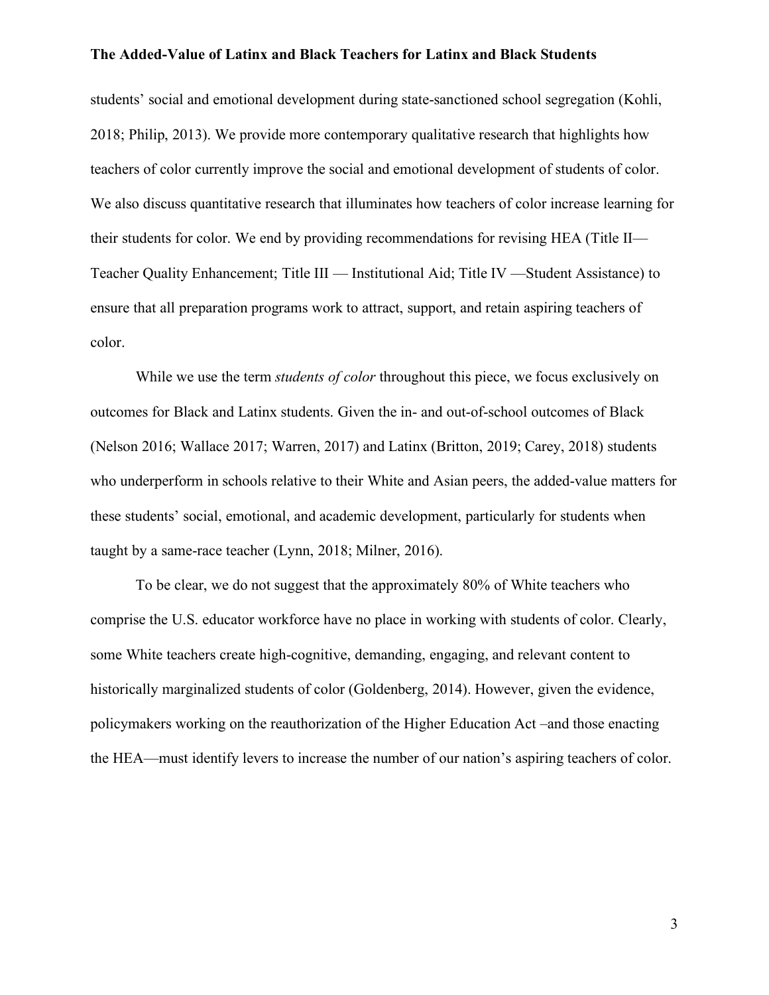students' social and emotional development during state-sanctioned school segregation (Kohli, 2018; Philip, 2013). We provide more contemporary qualitative research that highlights how teachers of color currently improve the social and emotional development of students of color. We also discuss quantitative research that illuminates how teachers of color increase learning for their students for color. We end by providing recommendations for revising HEA (Title II— Teacher Quality Enhancement; Title III — Institutional Aid; Title IV —Student Assistance) to ensure that all preparation programs work to attract, support, and retain aspiring teachers of color.

While we use the term *students of color* throughout this piece, we focus exclusively on outcomes for Black and Latinx students. Given the in- and out-of-school outcomes of Black (Nelson 2016; Wallace 2017; Warren, 2017) and Latinx (Britton, 2019; Carey, 2018) students who underperform in schools relative to their White and Asian peers, the added-value matters for these students' social, emotional, and academic development, particularly for students when taught by a same-race teacher (Lynn, 2018; Milner, 2016).

To be clear, we do not suggest that the approximately 80% of White teachers who comprise the U.S. educator workforce have no place in working with students of color. Clearly, some White teachers create high-cognitive, demanding, engaging, and relevant content to historically marginalized students of color (Goldenberg, 2014). However, given the evidence, policymakers working on the reauthorization of the Higher Education Act –and those enacting the HEA—must identify levers to increase the number of our nation's aspiring teachers of color.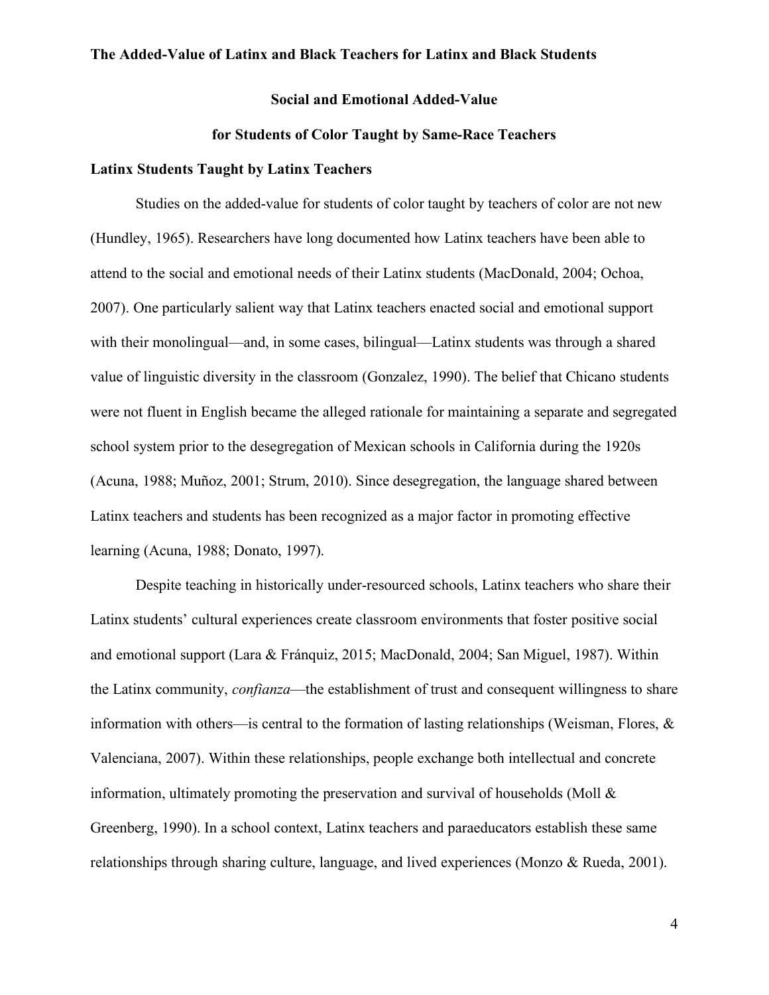## **Social and Emotional Added-Value**

# **for Students of Color Taught by Same-Race Teachers**

## **Latinx Students Taught by Latinx Teachers**

Studies on the added-value for students of color taught by teachers of color are not new (Hundley, 1965). Researchers have long documented how Latinx teachers have been able to attend to the social and emotional needs of their Latinx students (MacDonald, 2004; Ochoa, 2007). One particularly salient way that Latinx teachers enacted social and emotional support with their monolingual—and, in some cases, bilingual—Latinx students was through a shared value of linguistic diversity in the classroom (Gonzalez, 1990). The belief that Chicano students were not fluent in English became the alleged rationale for maintaining a separate and segregated school system prior to the desegregation of Mexican schools in California during the 1920s (Acuna, 1988; Muñoz, 2001; Strum, 2010). Since desegregation, the language shared between Latinx teachers and students has been recognized as a major factor in promoting effective learning (Acuna, 1988; Donato, 1997).

Despite teaching in historically under-resourced schools, Latinx teachers who share their Latinx students' cultural experiences create classroom environments that foster positive social and emotional support (Lara & Fránquiz, 2015; MacDonald, 2004; San Miguel, 1987). Within the Latinx community, *confianza*—the establishment of trust and consequent willingness to share information with others—is central to the formation of lasting relationships (Weisman, Flores, & Valenciana, 2007). Within these relationships, people exchange both intellectual and concrete information, ultimately promoting the preservation and survival of households (Moll & Greenberg, 1990). In a school context, Latinx teachers and paraeducators establish these same relationships through sharing culture, language, and lived experiences (Monzo & Rueda, 2001).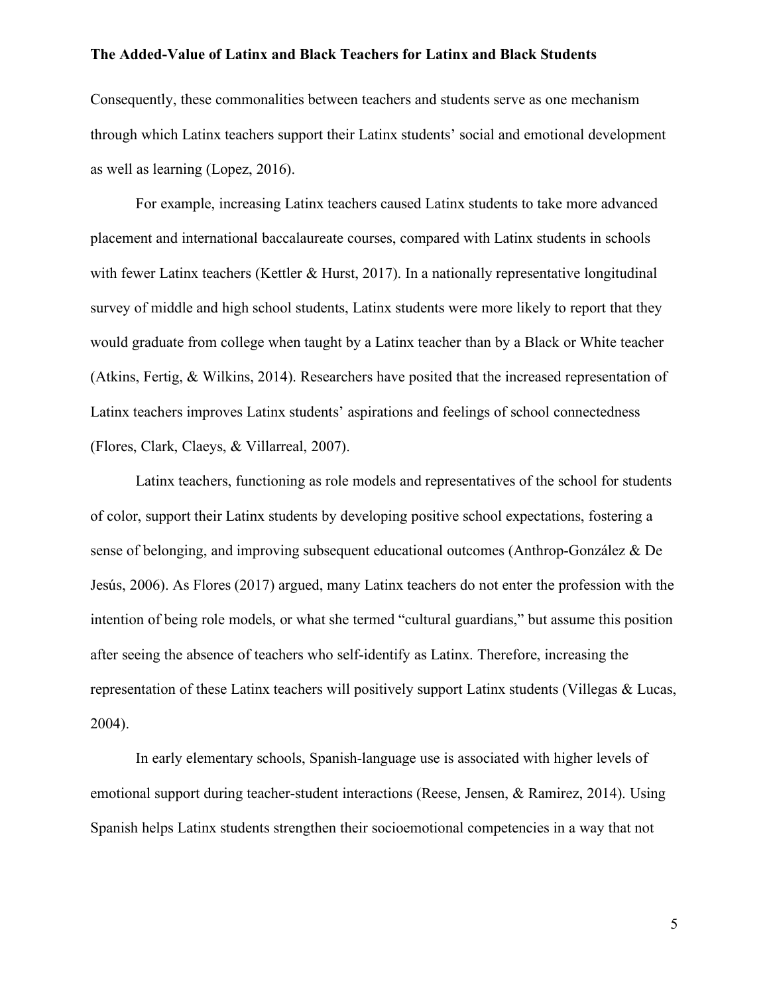Consequently, these commonalities between teachers and students serve as one mechanism through which Latinx teachers support their Latinx students' social and emotional development as well as learning (Lopez, 2016).

For example, increasing Latinx teachers caused Latinx students to take more advanced placement and international baccalaureate courses, compared with Latinx students in schools with fewer Latinx teachers (Kettler & Hurst, 2017). In a nationally representative longitudinal survey of middle and high school students, Latinx students were more likely to report that they would graduate from college when taught by a Latinx teacher than by a Black or White teacher (Atkins, Fertig, & Wilkins, 2014). Researchers have posited that the increased representation of Latinx teachers improves Latinx students' aspirations and feelings of school connectedness (Flores, Clark, Claeys, & Villarreal, 2007).

Latinx teachers, functioning as role models and representatives of the school for students of color, support their Latinx students by developing positive school expectations, fostering a sense of belonging, and improving subsequent educational outcomes (Anthrop-González & De Jesús, 2006). As Flores (2017) argued, many Latinx teachers do not enter the profession with the intention of being role models, or what she termed "cultural guardians," but assume this position after seeing the absence of teachers who self-identify as Latinx. Therefore, increasing the representation of these Latinx teachers will positively support Latinx students (Villegas & Lucas, 2004).

In early elementary schools, Spanish-language use is associated with higher levels of emotional support during teacher-student interactions (Reese, Jensen, & Ramirez, 2014). Using Spanish helps Latinx students strengthen their socioemotional competencies in a way that not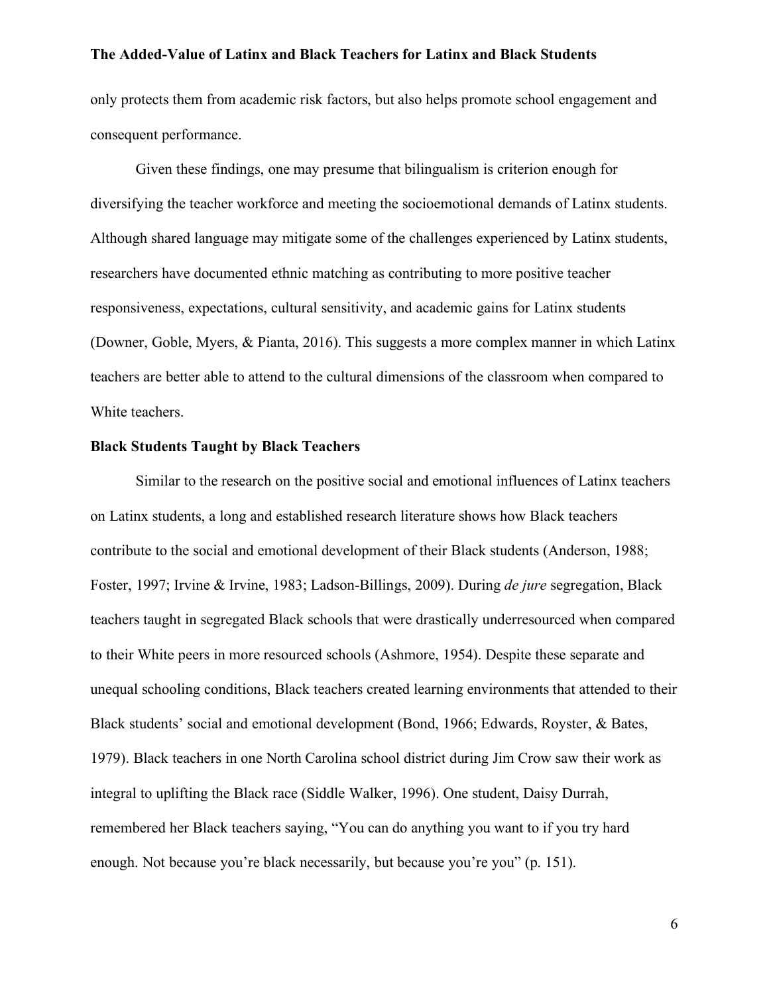only protects them from academic risk factors, but also helps promote school engagement and consequent performance.

Given these findings, one may presume that bilingualism is criterion enough for diversifying the teacher workforce and meeting the socioemotional demands of Latinx students. Although shared language may mitigate some of the challenges experienced by Latinx students, researchers have documented ethnic matching as contributing to more positive teacher responsiveness, expectations, cultural sensitivity, and academic gains for Latinx students (Downer, Goble, Myers, & Pianta, 2016). This suggests a more complex manner in which Latinx teachers are better able to attend to the cultural dimensions of the classroom when compared to White teachers.

## **Black Students Taught by Black Teachers**

Similar to the research on the positive social and emotional influences of Latinx teachers on Latinx students, a long and established research literature shows how Black teachers contribute to the social and emotional development of their Black students (Anderson, 1988; Foster, 1997; Irvine & Irvine, 1983; Ladson-Billings, 2009). During *de jure* segregation, Black teachers taught in segregated Black schools that were drastically underresourced when compared to their White peers in more resourced schools (Ashmore, 1954). Despite these separate and unequal schooling conditions, Black teachers created learning environments that attended to their Black students' social and emotional development (Bond, 1966; Edwards, Royster, & Bates, 1979). Black teachers in one North Carolina school district during Jim Crow saw their work as integral to uplifting the Black race (Siddle Walker, 1996). One student, Daisy Durrah, remembered her Black teachers saying, "You can do anything you want to if you try hard enough. Not because you're black necessarily, but because you're you" (p. 151).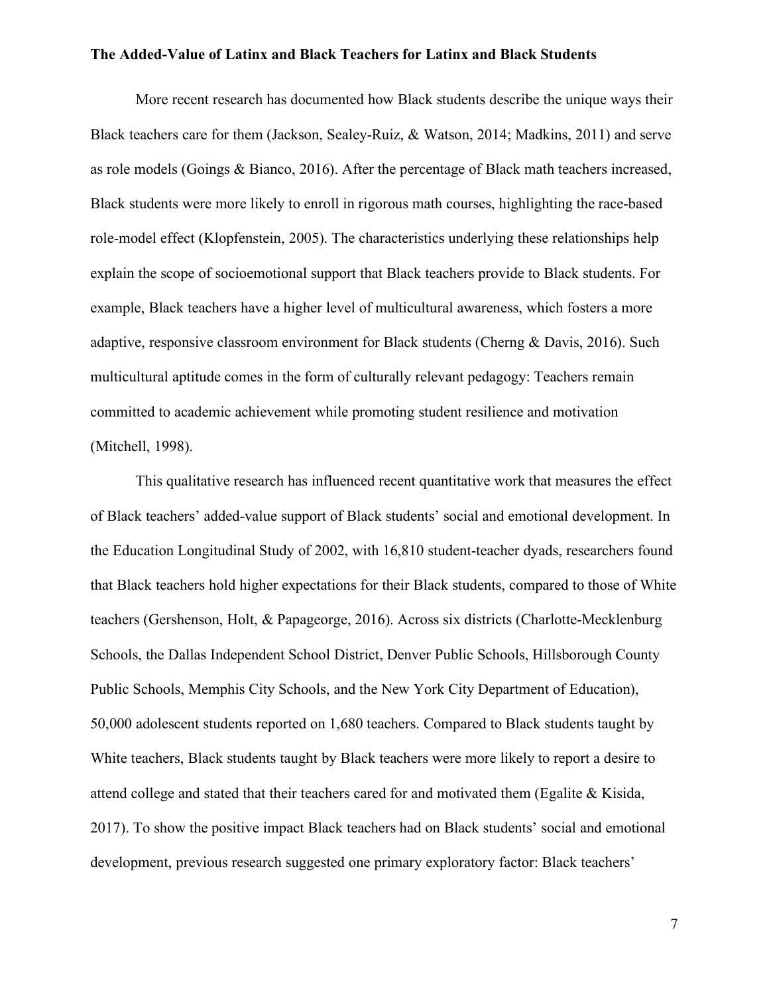More recent research has documented how Black students describe the unique ways their Black teachers care for them (Jackson, Sealey-Ruiz, & Watson, 2014; Madkins, 2011) and serve as role models (Goings & Bianco, 2016). After the percentage of Black math teachers increased, Black students were more likely to enroll in rigorous math courses, highlighting the race-based role-model effect (Klopfenstein, 2005). The characteristics underlying these relationships help explain the scope of socioemotional support that Black teachers provide to Black students. For example, Black teachers have a higher level of multicultural awareness, which fosters a more adaptive, responsive classroom environment for Black students (Cherng & Davis, 2016). Such multicultural aptitude comes in the form of culturally relevant pedagogy: Teachers remain committed to academic achievement while promoting student resilience and motivation (Mitchell, 1998).

This qualitative research has influenced recent quantitative work that measures the effect of Black teachers' added-value support of Black students' social and emotional development. In the Education Longitudinal Study of 2002, with 16,810 student-teacher dyads, researchers found that Black teachers hold higher expectations for their Black students, compared to those of White teachers (Gershenson, Holt, & Papageorge, 2016). Across six districts (Charlotte-Mecklenburg Schools, the Dallas Independent School District, Denver Public Schools, Hillsborough County Public Schools, Memphis City Schools, and the New York City Department of Education), 50,000 adolescent students reported on 1,680 teachers. Compared to Black students taught by White teachers, Black students taught by Black teachers were more likely to report a desire to attend college and stated that their teachers cared for and motivated them (Egalite  $\&$  Kisida, 2017). To show the positive impact Black teachers had on Black students' social and emotional development, previous research suggested one primary exploratory factor: Black teachers'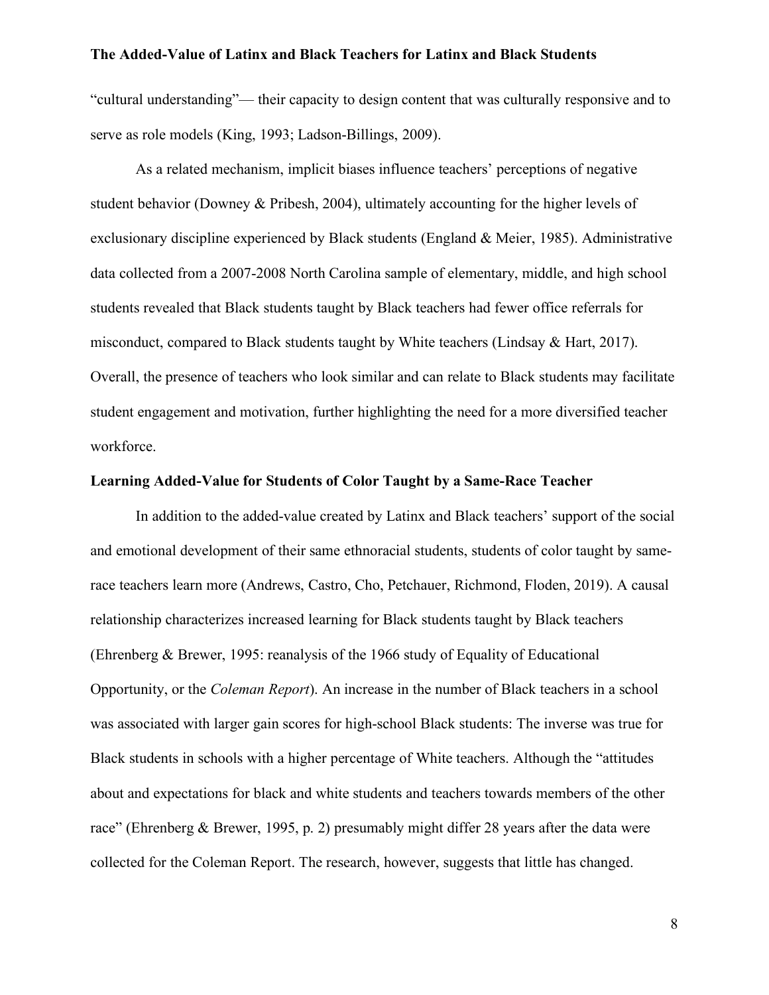"cultural understanding"— their capacity to design content that was culturally responsive and to serve as role models (King, 1993; Ladson-Billings, 2009).

As a related mechanism, implicit biases influence teachers' perceptions of negative student behavior (Downey & Pribesh, 2004), ultimately accounting for the higher levels of exclusionary discipline experienced by Black students (England & Meier, 1985). Administrative data collected from a 2007-2008 North Carolina sample of elementary, middle, and high school students revealed that Black students taught by Black teachers had fewer office referrals for misconduct, compared to Black students taught by White teachers (Lindsay & Hart, 2017). Overall, the presence of teachers who look similar and can relate to Black students may facilitate student engagement and motivation, further highlighting the need for a more diversified teacher workforce.

# **Learning Added-Value for Students of Color Taught by a Same-Race Teacher**

In addition to the added-value created by Latinx and Black teachers' support of the social and emotional development of their same ethnoracial students, students of color taught by samerace teachers learn more (Andrews, Castro, Cho, Petchauer, Richmond, Floden, 2019). A causal relationship characterizes increased learning for Black students taught by Black teachers (Ehrenberg & Brewer, 1995: reanalysis of the 1966 study of Equality of Educational Opportunity, or the *Coleman Report*). An increase in the number of Black teachers in a school was associated with larger gain scores for high-school Black students: The inverse was true for Black students in schools with a higher percentage of White teachers. Although the "attitudes about and expectations for black and white students and teachers towards members of the other race" (Ehrenberg & Brewer, 1995, p. 2) presumably might differ 28 years after the data were collected for the Coleman Report. The research, however, suggests that little has changed.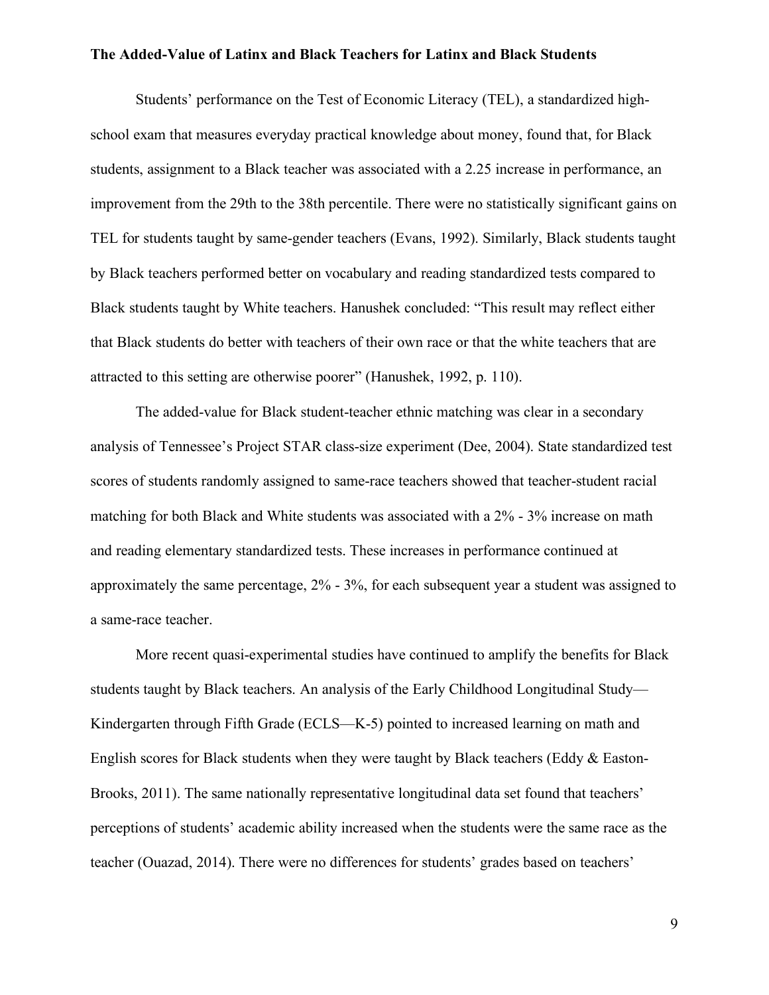Students' performance on the Test of Economic Literacy (TEL), a standardized highschool exam that measures everyday practical knowledge about money, found that, for Black students, assignment to a Black teacher was associated with a 2.25 increase in performance, an improvement from the 29th to the 38th percentile. There were no statistically significant gains on TEL for students taught by same-gender teachers (Evans, 1992). Similarly, Black students taught by Black teachers performed better on vocabulary and reading standardized tests compared to Black students taught by White teachers. Hanushek concluded: "This result may reflect either that Black students do better with teachers of their own race or that the white teachers that are attracted to this setting are otherwise poorer" (Hanushek, 1992, p. 110).

The added-value for Black student-teacher ethnic matching was clear in a secondary analysis of Tennessee's Project STAR class-size experiment (Dee, 2004). State standardized test scores of students randomly assigned to same-race teachers showed that teacher-student racial matching for both Black and White students was associated with a 2% - 3% increase on math and reading elementary standardized tests. These increases in performance continued at approximately the same percentage, 2% - 3%, for each subsequent year a student was assigned to a same-race teacher.

More recent quasi-experimental studies have continued to amplify the benefits for Black students taught by Black teachers. An analysis of the Early Childhood Longitudinal Study— Kindergarten through Fifth Grade (ECLS—K-5) pointed to increased learning on math and English scores for Black students when they were taught by Black teachers (Eddy & Easton-Brooks, 2011). The same nationally representative longitudinal data set found that teachers' perceptions of students' academic ability increased when the students were the same race as the teacher (Ouazad, 2014). There were no differences for students' grades based on teachers'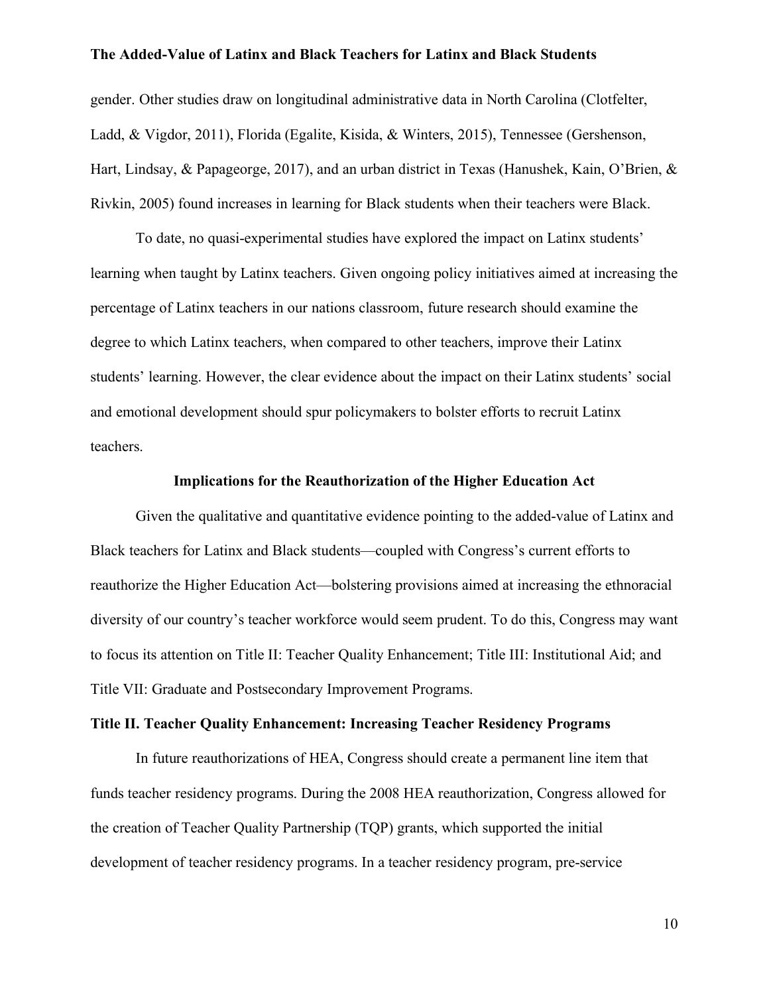gender. Other studies draw on longitudinal administrative data in North Carolina (Clotfelter, Ladd, & Vigdor, 2011), Florida (Egalite, Kisida, & Winters, 2015), Tennessee (Gershenson, Hart, Lindsay, & Papageorge, 2017), and an urban district in Texas (Hanushek, Kain, O'Brien, & Rivkin, 2005) found increases in learning for Black students when their teachers were Black.

To date, no quasi-experimental studies have explored the impact on Latinx students' learning when taught by Latinx teachers. Given ongoing policy initiatives aimed at increasing the percentage of Latinx teachers in our nations classroom, future research should examine the degree to which Latinx teachers, when compared to other teachers, improve their Latinx students' learning. However, the clear evidence about the impact on their Latinx students' social and emotional development should spur policymakers to bolster efforts to recruit Latinx teachers.

#### **Implications for the Reauthorization of the Higher Education Act**

Given the qualitative and quantitative evidence pointing to the added-value of Latinx and Black teachers for Latinx and Black students—coupled with Congress's current efforts to reauthorize the Higher Education Act—bolstering provisions aimed at increasing the ethnoracial diversity of our country's teacher workforce would seem prudent. To do this, Congress may want to focus its attention on Title II: Teacher Quality Enhancement; Title III: Institutional Aid; and Title VII: Graduate and Postsecondary Improvement Programs.

## **Title II. Teacher Quality Enhancement: Increasing Teacher Residency Programs**

In future reauthorizations of HEA, Congress should create a permanent line item that funds teacher residency programs. During the 2008 HEA reauthorization, Congress allowed for the creation of Teacher Quality Partnership (TQP) grants, which supported the initial development of teacher residency programs. In a teacher residency program, pre-service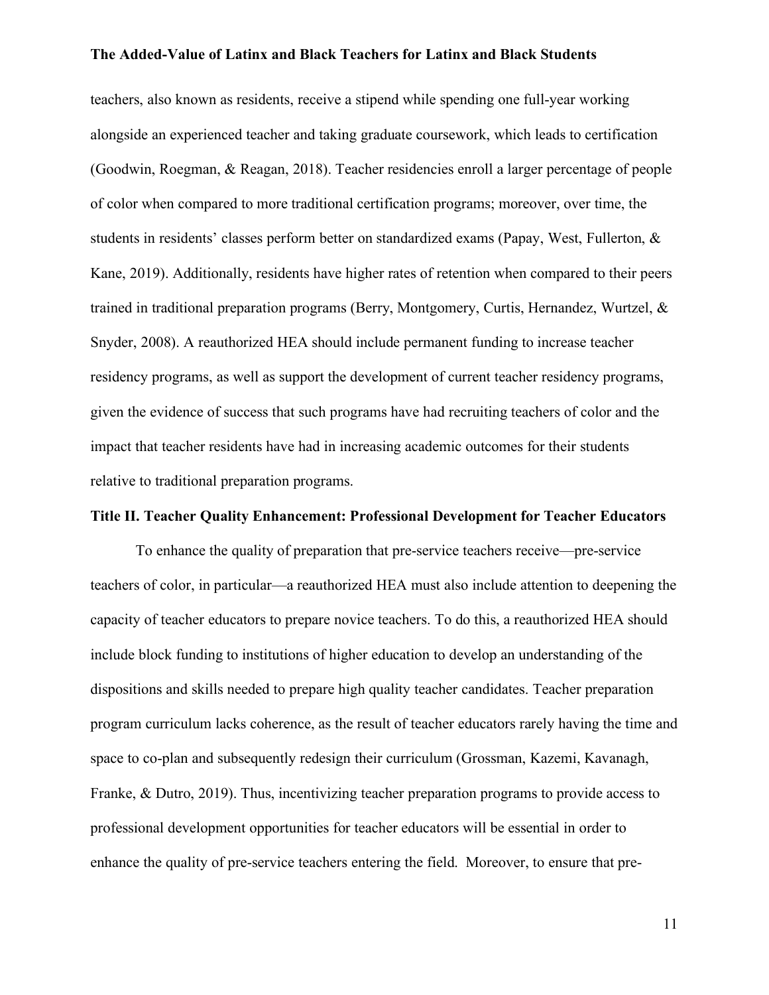teachers, also known as residents, receive a stipend while spending one full-year working alongside an experienced teacher and taking graduate coursework, which leads to certification (Goodwin, Roegman, & Reagan, 2018). Teacher residencies enroll a larger percentage of people of color when compared to more traditional certification programs; moreover, over time, the students in residents' classes perform better on standardized exams (Papay, West, Fullerton, & Kane, 2019). Additionally, residents have higher rates of retention when compared to their peers trained in traditional preparation programs (Berry, Montgomery, Curtis, Hernandez, Wurtzel, & Snyder, 2008). A reauthorized HEA should include permanent funding to increase teacher residency programs, as well as support the development of current teacher residency programs, given the evidence of success that such programs have had recruiting teachers of color and the impact that teacher residents have had in increasing academic outcomes for their students relative to traditional preparation programs.

## **Title II. Teacher Quality Enhancement: Professional Development for Teacher Educators**

To enhance the quality of preparation that pre-service teachers receive—pre-service teachers of color, in particular—a reauthorized HEA must also include attention to deepening the capacity of teacher educators to prepare novice teachers. To do this, a reauthorized HEA should include block funding to institutions of higher education to develop an understanding of the dispositions and skills needed to prepare high quality teacher candidates. Teacher preparation program curriculum lacks coherence, as the result of teacher educators rarely having the time and space to co-plan and subsequently redesign their curriculum (Grossman, Kazemi, Kavanagh, Franke, & Dutro, 2019). Thus, incentivizing teacher preparation programs to provide access to professional development opportunities for teacher educators will be essential in order to enhance the quality of pre-service teachers entering the field. Moreover, to ensure that pre-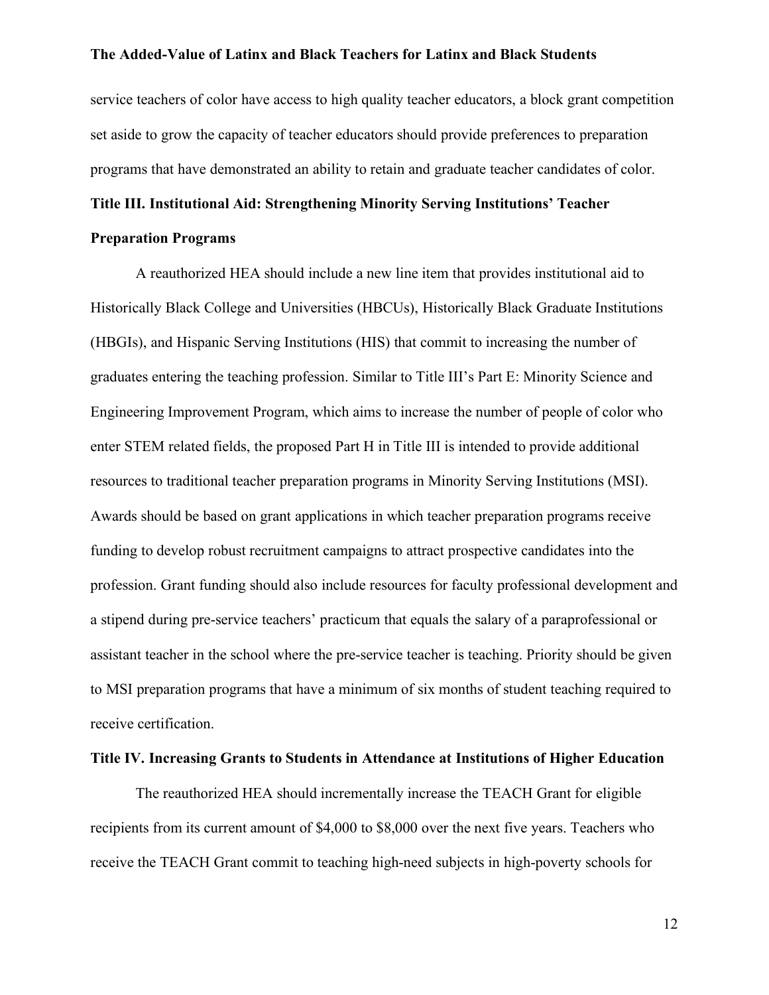service teachers of color have access to high quality teacher educators, a block grant competition set aside to grow the capacity of teacher educators should provide preferences to preparation programs that have demonstrated an ability to retain and graduate teacher candidates of color.

# **Title III. Institutional Aid: Strengthening Minority Serving Institutions' Teacher**

#### **Preparation Programs**

A reauthorized HEA should include a new line item that provides institutional aid to Historically Black College and Universities (HBCUs), Historically Black Graduate Institutions (HBGIs), and Hispanic Serving Institutions (HIS) that commit to increasing the number of graduates entering the teaching profession. Similar to Title III's Part E: Minority Science and Engineering Improvement Program, which aims to increase the number of people of color who enter STEM related fields, the proposed Part H in Title III is intended to provide additional resources to traditional teacher preparation programs in Minority Serving Institutions (MSI). Awards should be based on grant applications in which teacher preparation programs receive funding to develop robust recruitment campaigns to attract prospective candidates into the profession. Grant funding should also include resources for faculty professional development and a stipend during pre-service teachers' practicum that equals the salary of a paraprofessional or assistant teacher in the school where the pre-service teacher is teaching. Priority should be given to MSI preparation programs that have a minimum of six months of student teaching required to receive certification.

## **Title IV. Increasing Grants to Students in Attendance at Institutions of Higher Education**

The reauthorized HEA should incrementally increase the TEACH Grant for eligible recipients from its current amount of \$4,000 to \$8,000 over the next five years. Teachers who receive the TEACH Grant commit to teaching high-need subjects in high-poverty schools for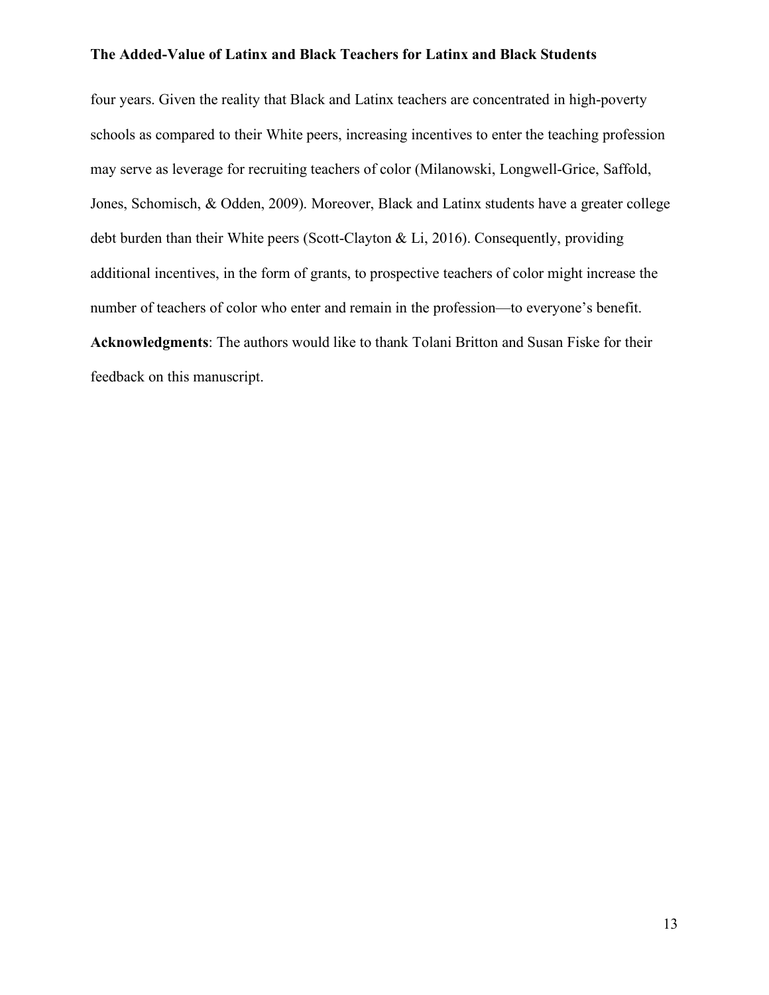four years. Given the reality that Black and Latinx teachers are concentrated in high-poverty schools as compared to their White peers, increasing incentives to enter the teaching profession may serve as leverage for recruiting teachers of color (Milanowski, Longwell-Grice, Saffold, Jones, Schomisch, & Odden, 2009). Moreover, Black and Latinx students have a greater college debt burden than their White peers (Scott-Clayton & Li, 2016). Consequently, providing additional incentives, in the form of grants, to prospective teachers of color might increase the number of teachers of color who enter and remain in the profession—to everyone's benefit. **Acknowledgments**: The authors would like to thank Tolani Britton and Susan Fiske for their feedback on this manuscript.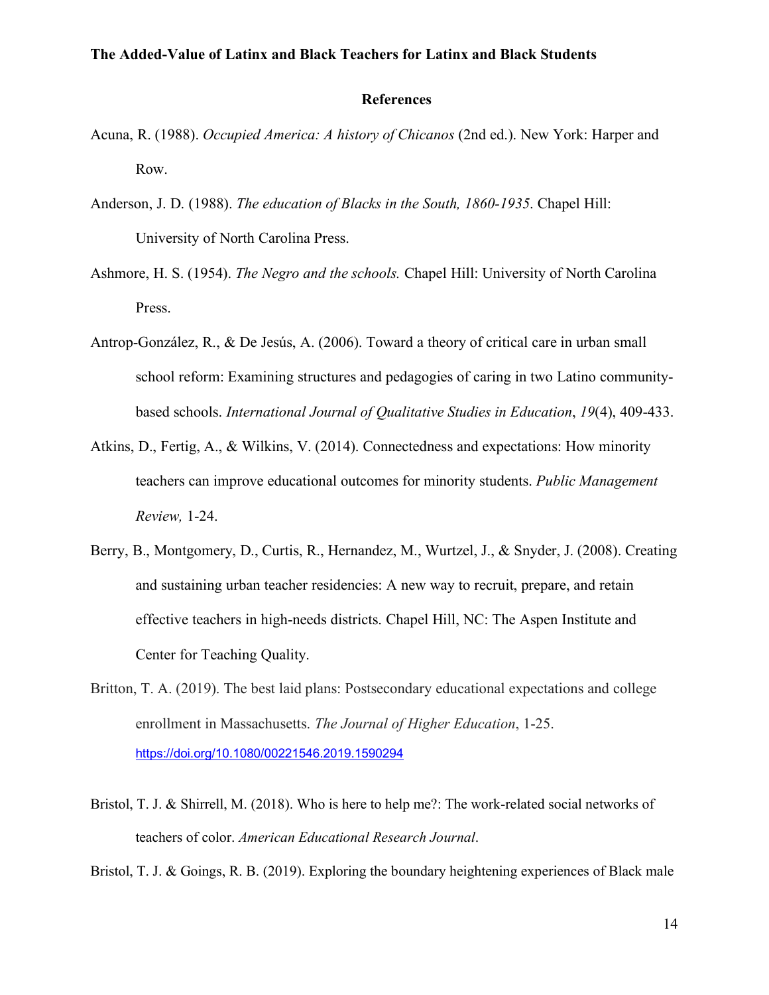#### **References**

- Acuna, R. (1988). *Occupied America: A history of Chicanos* (2nd ed.). New York: Harper and Row.
- Anderson, J. D. (1988). *The education of Blacks in the South, 1860-1935*. Chapel Hill: University of North Carolina Press.
- Ashmore, H. S. (1954). *The Negro and the schools.* Chapel Hill: University of North Carolina Press.
- Antrop-González, R., & De Jesús, A. (2006). Toward a theory of critical care in urban small school reform: Examining structures and pedagogies of caring in two Latino communitybased schools. *International Journal of Qualitative Studies in Education*, *19*(4), 409-433.
- Atkins, D., Fertig, A., & Wilkins, V. (2014). Connectedness and expectations: How minority teachers can improve educational outcomes for minority students. *Public Management Review,* 1-24.
- Berry, B., Montgomery, D., Curtis, R., Hernandez, M., Wurtzel, J., & Snyder, J. (2008). Creating and sustaining urban teacher residencies: A new way to recruit, prepare, and retain effective teachers in high-needs districts. Chapel Hill, NC: The Aspen Institute and Center for Teaching Quality.
- Britton, T. A. (2019). The best laid plans: Postsecondary educational expectations and college enrollment in Massachusetts. *The Journal of Higher Education*, 1-25. https://doi.org/10.1080/00221546.2019.1590294
- Bristol, T. J. & Shirrell, M. (2018). Who is here to help me?: The work-related social networks of teachers of color. *American Educational Research Journal*.

Bristol, T. J. & Goings, R. B. (2019). Exploring the boundary heightening experiences of Black male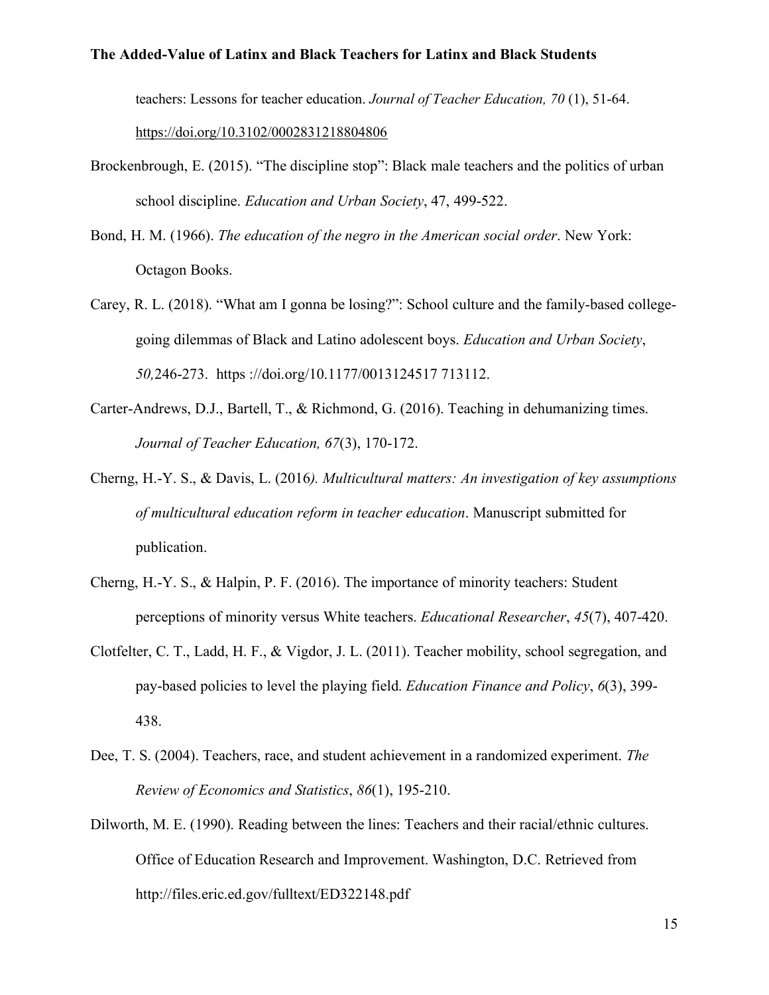teachers: Lessons for teacher education. *Journal of Teacher Education, 70* (1), 51-64.

https://doi.org/10.3102/0002831218804806

- Brockenbrough, E. (2015). "The discipline stop": Black male teachers and the politics of urban school discipline. *Education and Urban Society*, 47, 499-522.
- Bond, H. M. (1966). *The education of the negro in the American social order*. New York: Octagon Books.
- Carey, R. L. (2018). "What am I gonna be losing?": School culture and the family-based collegegoing dilemmas of Black and Latino adolescent boys. *Education and Urban Society*, *50,*246-273. https ://doi.org/10.1177/0013124517 713112.
- Carter-Andrews, D.J., Bartell, T., & Richmond, G. (2016). Teaching in dehumanizing times. *Journal of Teacher Education, 67*(3), 170-172.
- Cherng, H.-Y. S., & Davis, L. (2016*). Multicultural matters: An investigation of key assumptions of multicultural education reform in teacher education*. Manuscript submitted for publication.
- Cherng, H.-Y. S., & Halpin, P. F. (2016). The importance of minority teachers: Student perceptions of minority versus White teachers. *Educational Researcher*, *45*(7), 407-420.
- Clotfelter, C. T., Ladd, H. F., & Vigdor, J. L. (2011). Teacher mobility, school segregation, and pay-based policies to level the playing field. *Education Finance and Policy*, *6*(3), 399- 438.
- Dee, T. S. (2004). Teachers, race, and student achievement in a randomized experiment. *The Review of Economics and Statistics*, *86*(1), 195-210.
- Dilworth, M. E. (1990). Reading between the lines: Teachers and their racial/ethnic cultures. Office of Education Research and Improvement. Washington, D.C. Retrieved from http://files.eric.ed.gov/fulltext/ED322148.pdf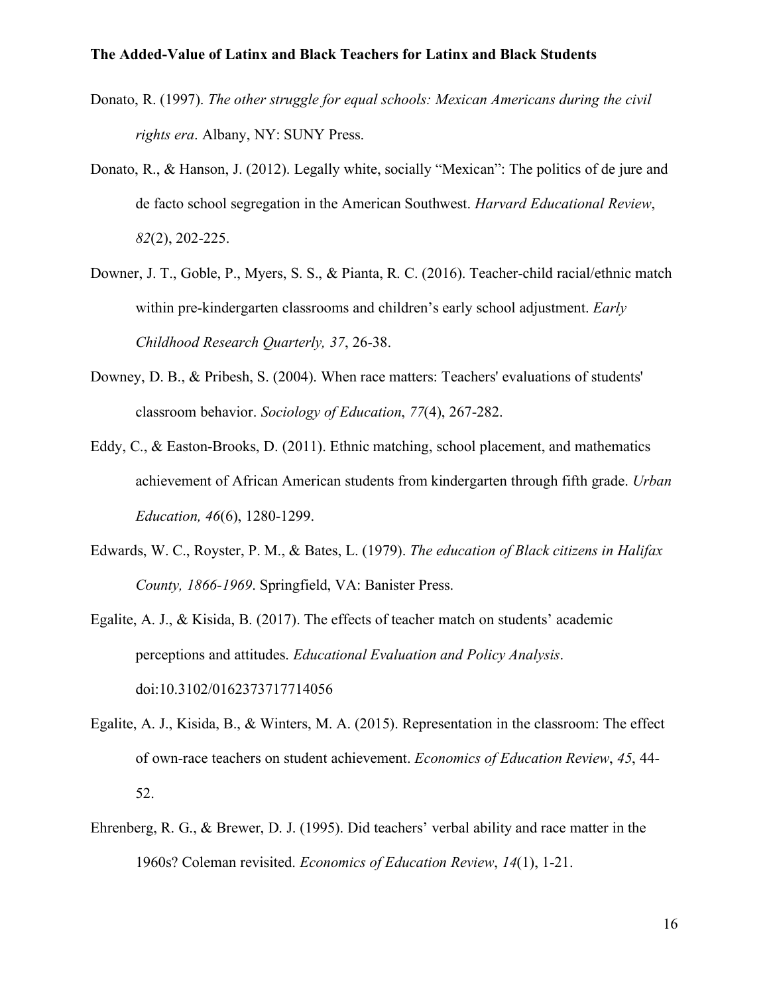- Donato, R. (1997). *The other struggle for equal schools: Mexican Americans during the civil rights era*. Albany, NY: SUNY Press.
- Donato, R., & Hanson, J. (2012). Legally white, socially "Mexican": The politics of de jure and de facto school segregation in the American Southwest. *Harvard Educational Review*, *82*(2), 202-225.
- Downer, J. T., Goble, P., Myers, S. S., & Pianta, R. C. (2016). Teacher-child racial/ethnic match within pre-kindergarten classrooms and children's early school adjustment. *Early Childhood Research Quarterly, 37*, 26-38.
- Downey, D. B., & Pribesh, S. (2004). When race matters: Teachers' evaluations of students' classroom behavior. *Sociology of Education*, *77*(4), 267-282.
- Eddy, C., & Easton-Brooks, D. (2011). Ethnic matching, school placement, and mathematics achievement of African American students from kindergarten through fifth grade. *Urban Education, 46*(6), 1280-1299.
- Edwards, W. C., Royster, P. M., & Bates, L. (1979). *The education of Black citizens in Halifax County, 1866-1969*. Springfield, VA: Banister Press.
- Egalite, A. J., & Kisida, B. (2017). The effects of teacher match on students' academic perceptions and attitudes. *Educational Evaluation and Policy Analysis*. doi:10.3102/0162373717714056
- Egalite, A. J., Kisida, B., & Winters, M. A. (2015). Representation in the classroom: The effect of own-race teachers on student achievement. *Economics of Education Review*, *45*, 44- 52.
- Ehrenberg, R. G., & Brewer, D. J. (1995). Did teachers' verbal ability and race matter in the 1960s? Coleman revisited. *Economics of Education Review*, *14*(1), 1-21.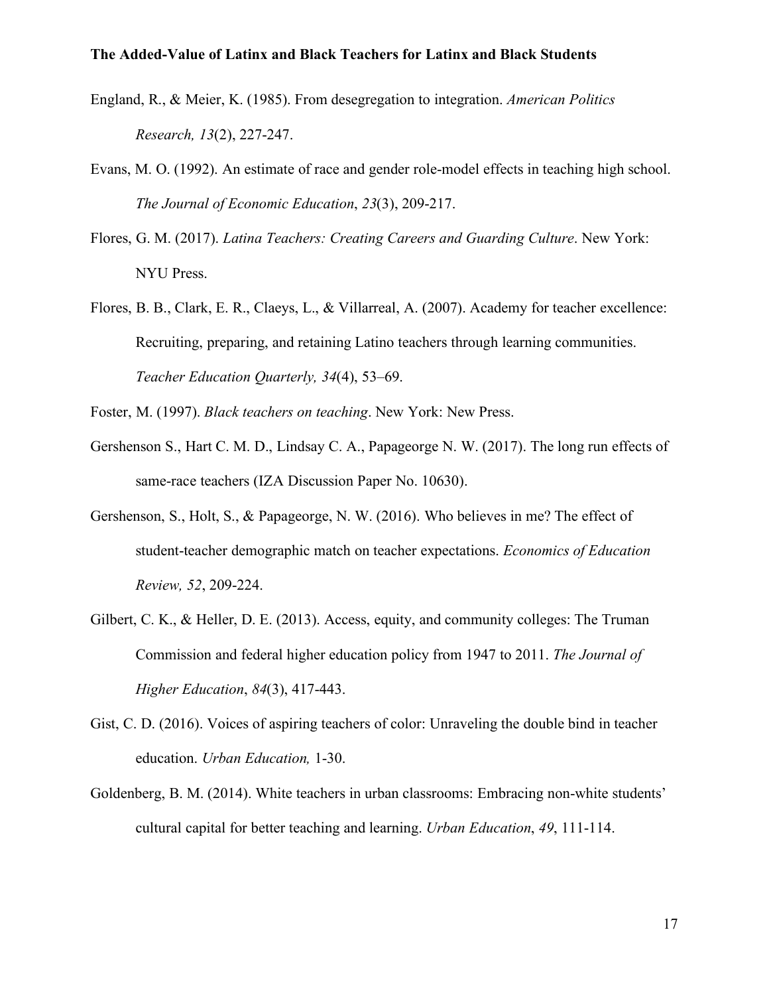- England, R., & Meier, K. (1985). From desegregation to integration. *American Politics Research, 13*(2), 227-247.
- Evans, M. O. (1992). An estimate of race and gender role-model effects in teaching high school. *The Journal of Economic Education*, *23*(3), 209-217.
- Flores, G. M. (2017). *Latina Teachers: Creating Careers and Guarding Culture*. New York: NYU Press.
- Flores, B. B., Clark, E. R., Claeys, L., & Villarreal, A. (2007). Academy for teacher excellence: Recruiting, preparing, and retaining Latino teachers through learning communities. *Teacher Education Quarterly, 34*(4), 53–69.
- Foster, M. (1997). *Black teachers on teaching*. New York: New Press.
- Gershenson S., Hart C. M. D., Lindsay C. A., Papageorge N. W. (2017). The long run effects of same-race teachers (IZA Discussion Paper No. 10630).
- Gershenson, S., Holt, S., & Papageorge, N. W. (2016). Who believes in me? The effect of student-teacher demographic match on teacher expectations. *Economics of Education Review, 52*, 209-224.
- Gilbert, C. K., & Heller, D. E. (2013). Access, equity, and community colleges: The Truman Commission and federal higher education policy from 1947 to 2011. *The Journal of Higher Education*, *84*(3), 417-443.
- Gist, C. D. (2016). Voices of aspiring teachers of color: Unraveling the double bind in teacher education. *Urban Education,* 1-30.
- Goldenberg, B. M. (2014). White teachers in urban classrooms: Embracing non-white students' cultural capital for better teaching and learning. *Urban Education*, *49*, 111-114.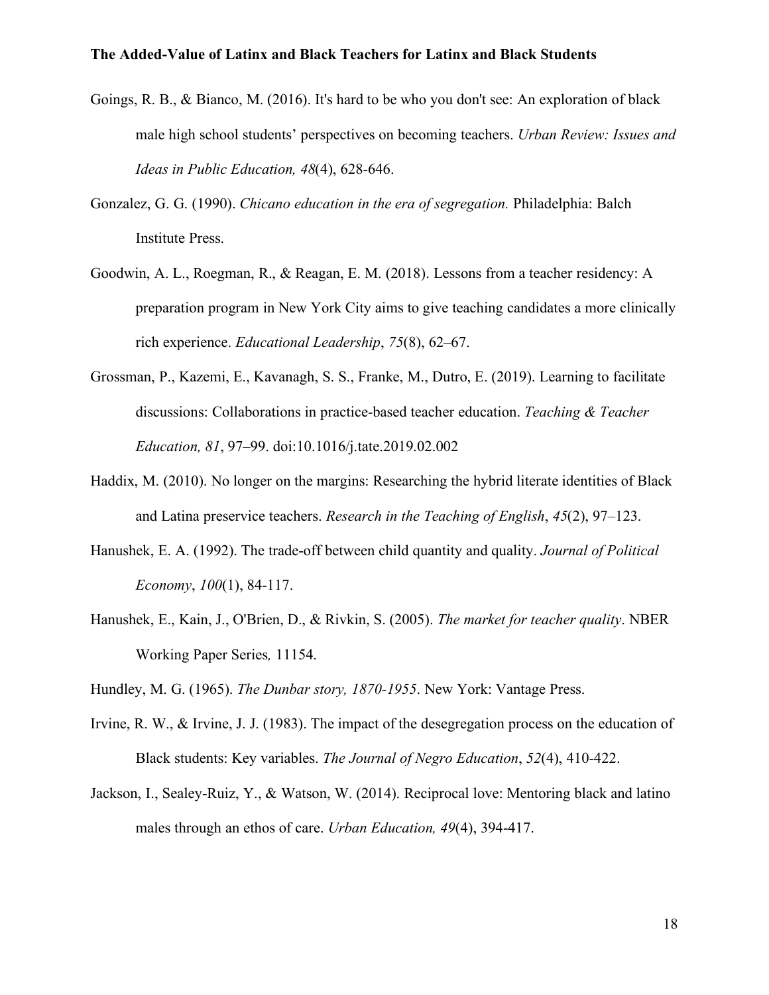- Goings, R. B., & Bianco, M. (2016). It's hard to be who you don't see: An exploration of black male high school students' perspectives on becoming teachers. *Urban Review: Issues and Ideas in Public Education, 48*(4), 628-646.
- Gonzalez, G. G. (1990). *Chicano education in the era of segregation.* Philadelphia: Balch Institute Press.
- Goodwin, A. L., Roegman, R., & Reagan, E. M. (2018). Lessons from a teacher residency: A preparation program in New York City aims to give teaching candidates a more clinically rich experience. *Educational Leadership*, *75*(8), 62–67.
- Grossman, P., Kazemi, E., Kavanagh, S. S., Franke, M., Dutro, E. (2019). Learning to facilitate discussions: Collaborations in practice-based teacher education. *Teaching & Teacher Education, 81*, 97–99. doi:10.1016/j.tate.2019.02.002
- Haddix, M. (2010). No longer on the margins: Researching the hybrid literate identities of Black and Latina preservice teachers. *Research in the Teaching of English*, *45*(2), 97–123.
- Hanushek, E. A. (1992). The trade-off between child quantity and quality. *Journal of Political Economy*, *100*(1), 84-117.
- Hanushek, E., Kain, J., O'Brien, D., & Rivkin, S. (2005). *The market for teacher quality*. NBER Working Paper Series*,* 11154.

Hundley, M. G. (1965). *The Dunbar story, 1870-1955*. New York: Vantage Press.

- Irvine, R. W., & Irvine, J. J. (1983). The impact of the desegregation process on the education of Black students: Key variables. *The Journal of Negro Education*, *52*(4), 410-422.
- Jackson, I., Sealey-Ruiz, Y., & Watson, W. (2014). Reciprocal love: Mentoring black and latino males through an ethos of care. *Urban Education, 49*(4), 394-417.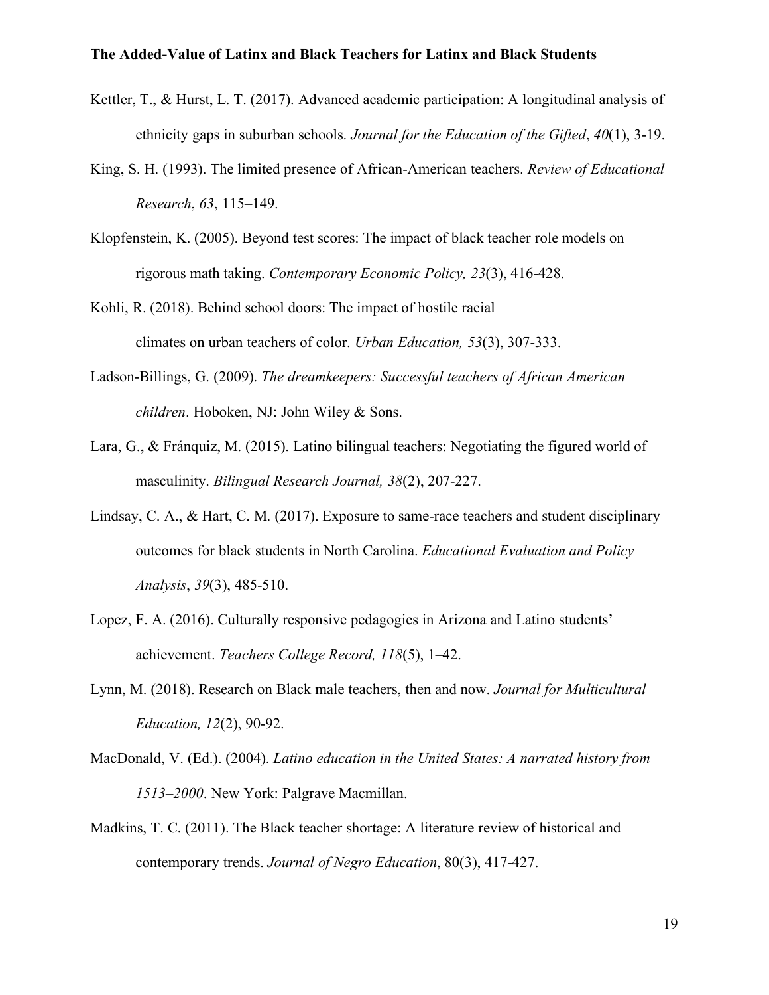- Kettler, T., & Hurst, L. T. (2017). Advanced academic participation: A longitudinal analysis of ethnicity gaps in suburban schools. *Journal for the Education of the Gifted*, *40*(1), 3-19.
- King, S. H. (1993). The limited presence of African-American teachers. *Review of Educational Research*, *63*, 115–149.
- Klopfenstein, K. (2005). Beyond test scores: The impact of black teacher role models on rigorous math taking. *Contemporary Economic Policy, 23*(3), 416-428.
- Kohli, R. (2018). Behind school doors: The impact of hostile racial climates on urban teachers of color. *Urban Education, 53*(3), 307-333.
- Ladson-Billings, G. (2009). *The dreamkeepers: Successful teachers of African American children*. Hoboken, NJ: John Wiley & Sons.
- Lara, G., & Fránquiz, M. (2015). Latino bilingual teachers: Negotiating the figured world of masculinity. *Bilingual Research Journal, 38*(2), 207-227.
- Lindsay, C. A., & Hart, C. M. (2017). Exposure to same-race teachers and student disciplinary outcomes for black students in North Carolina. *Educational Evaluation and Policy Analysis*, *39*(3), 485-510.
- Lopez, F. A. (2016). Culturally responsive pedagogies in Arizona and Latino students' achievement. *Teachers College Record, 118*(5), 1–42.
- Lynn, M. (2018). Research on Black male teachers, then and now. *Journal for Multicultural Education, 12*(2), 90-92.
- MacDonald, V. (Ed.). (2004). *Latino education in the United States: A narrated history from 1513–2000*. New York: Palgrave Macmillan.
- Madkins, T. C. (2011). The Black teacher shortage: A literature review of historical and contemporary trends. *Journal of Negro Education*, 80(3), 417-427.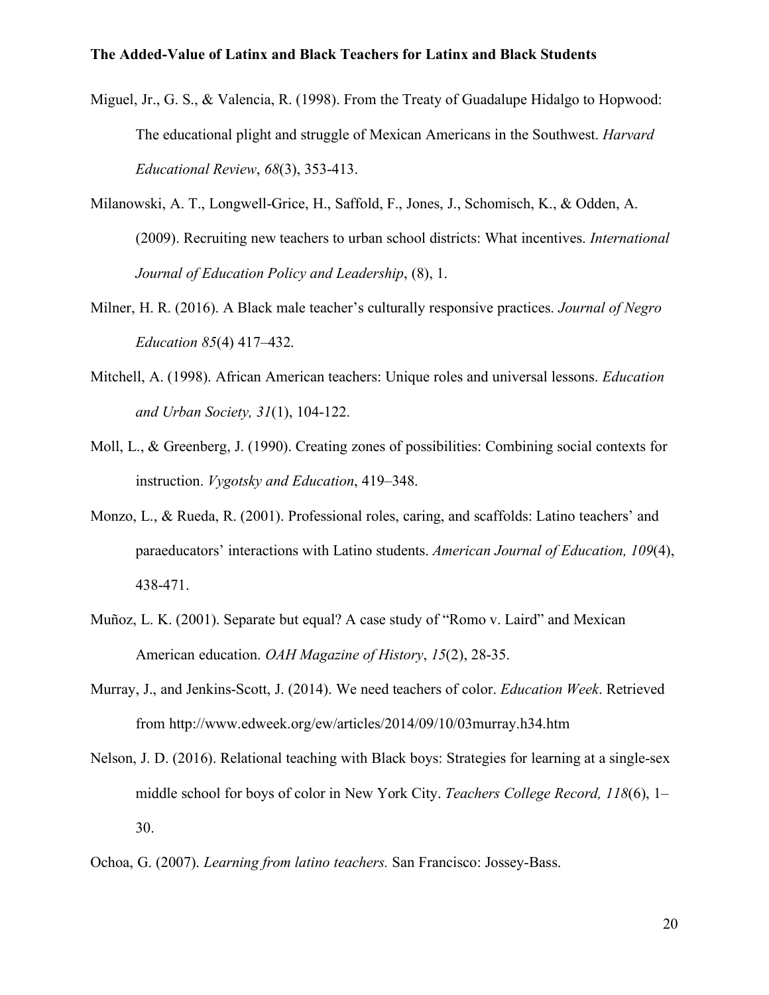- Miguel, Jr., G. S., & Valencia, R. (1998). From the Treaty of Guadalupe Hidalgo to Hopwood: The educational plight and struggle of Mexican Americans in the Southwest. *Harvard Educational Review*, *68*(3), 353-413.
- Milanowski, A. T., Longwell-Grice, H., Saffold, F., Jones, J., Schomisch, K., & Odden, A. (2009). Recruiting new teachers to urban school districts: What incentives. *International Journal of Education Policy and Leadership*, (8), 1.
- Milner, H. R. (2016). A Black male teacher's culturally responsive practices. *Journal of Negro Education 85*(4) 417–432.
- Mitchell, A. (1998). African American teachers: Unique roles and universal lessons. *Education and Urban Society, 31*(1), 104-122.
- Moll, L., & Greenberg, J. (1990). Creating zones of possibilities: Combining social contexts for instruction. *Vygotsky and Education*, 419–348.
- Monzo, L., & Rueda, R. (2001). Professional roles, caring, and scaffolds: Latino teachers' and paraeducators' interactions with Latino students. *American Journal of Education, 109*(4), 438-471.
- Muñoz, L. K. (2001). Separate but equal? A case study of "Romo v. Laird" and Mexican American education. *OAH Magazine of History*, *15*(2), 28-35.
- Murray, J., and Jenkins-Scott, J. (2014). We need teachers of color. *Education Week*. Retrieved from http://www.edweek.org/ew/articles/2014/09/10/03murray.h34.htm
- Nelson, J. D. (2016). Relational teaching with Black boys: Strategies for learning at a single-sex middle school for boys of color in New York City. *Teachers College Record, 118*(6), 1– 30.
- Ochoa, G. (2007). *Learning from latino teachers.* San Francisco: Jossey-Bass.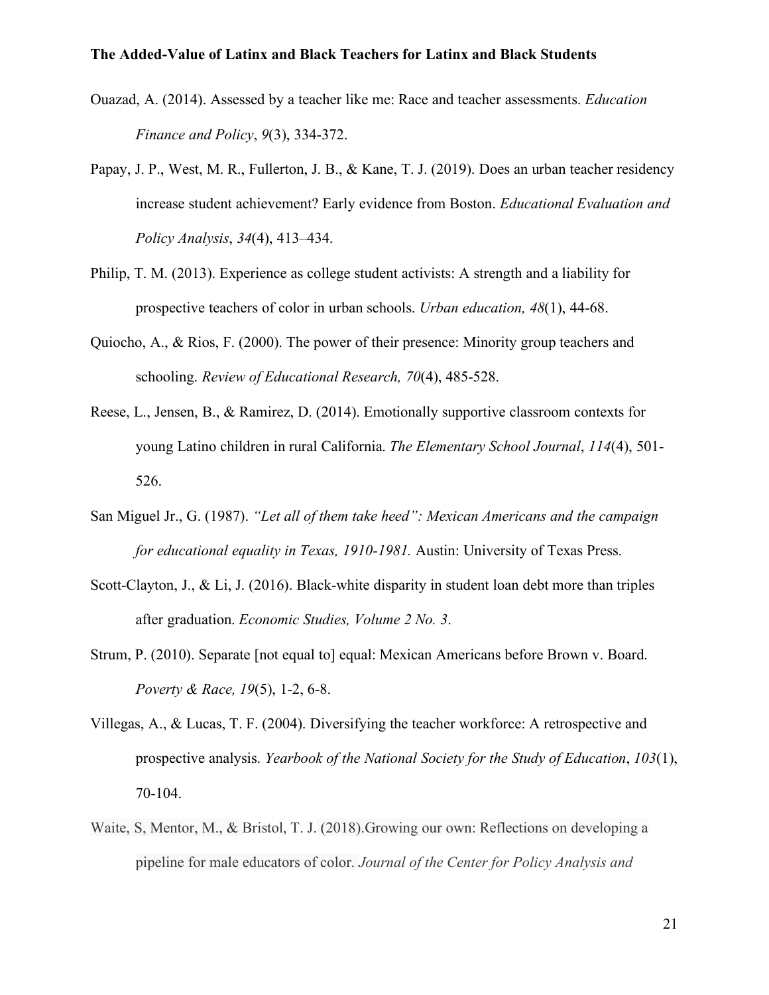- Ouazad, A. (2014). Assessed by a teacher like me: Race and teacher assessments. *Education Finance and Policy*, *9*(3), 334-372.
- Papay, J. P., West, M. R., Fullerton, J. B., & Kane, T. J. (2019). Does an urban teacher residency increase student achievement? Early evidence from Boston. *Educational Evaluation and Policy Analysis*, *34*(4), 413–434.
- Philip, T. M. (2013). Experience as college student activists: A strength and a liability for prospective teachers of color in urban schools. *Urban education, 48*(1), 44-68.
- Quiocho, A., & Rios, F. (2000). The power of their presence: Minority group teachers and schooling. *Review of Educational Research, 70*(4), 485-528.
- Reese, L., Jensen, B., & Ramirez, D. (2014). Emotionally supportive classroom contexts for young Latino children in rural California. *The Elementary School Journal*, *114*(4), 501- 526.
- San Miguel Jr., G. (1987). *"Let all of them take heed": Mexican Americans and the campaign for educational equality in Texas, 1910-1981.* Austin: University of Texas Press.
- Scott-Clayton, J., & Li, J. (2016). Black-white disparity in student loan debt more than triples after graduation. *Economic Studies, Volume 2 No. 3*.
- Strum, P. (2010). Separate [not equal to] equal: Mexican Americans before Brown v. Board. *Poverty & Race, 19*(5), 1-2, 6-8.
- Villegas, A., & Lucas, T. F. (2004). Diversifying the teacher workforce: A retrospective and prospective analysis. *Yearbook of the National Society for the Study of Education*, *103*(1), 70-104.
- Waite, S, Mentor, M., & Bristol, T. J. (2018).Growing our own: Reflections on developing a pipeline for male educators of color. *Journal of the Center for Policy Analysis and*